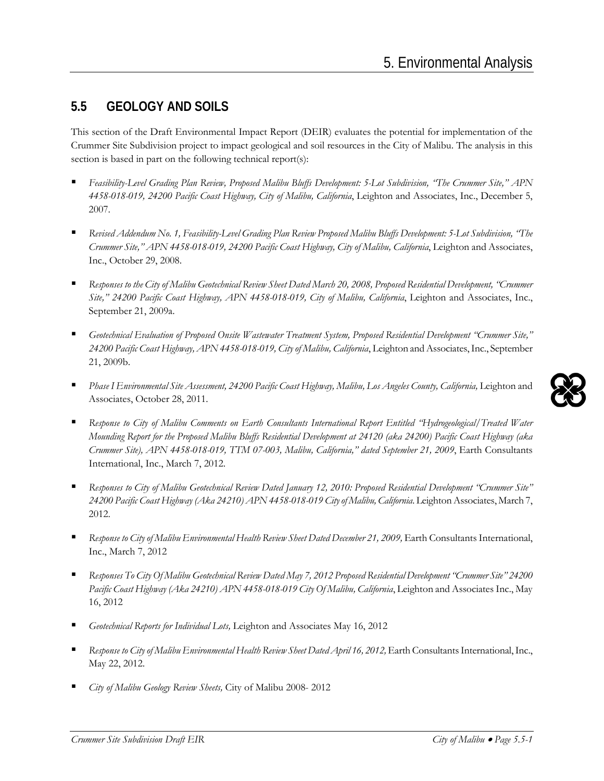## **5.5 GEOLOGY AND SOILS**

This section of the Draft Environmental Impact Report (DEIR) evaluates the potential for implementation of the Crummer Site Subdivision project to impact geological and soil resources in the City of Malibu. The analysis in this section is based in part on the following technical report(s):

- *Feasibility-Level Grading Plan Review, Proposed Malibu Bluffs Development: 5-Lot Subdivision, "The Crummer Site," APN 4458-018-019, 24200 Pacific Coast Highway, City of Malibu, California*, Leighton and Associates, Inc., December 5, 2007.
- *Revised Addendum No. 1, Feasibility-Level Grading Plan Review Proposed Malibu Bluffs Development: 5-Lot Subdivision, "The Crummer Site," APN 4458-018-019, 24200 Pacific Coast Highway, City of Malibu, California*, Leighton and Associates, Inc., October 29, 2008.
- *Responses to the City of Malibu Geotechnical Review Sheet Dated March 20, 2008, Proposed Residential Development, "Crummer Site," 24200 Pacific Coast Highway, APN 4458-018-019, City of Malibu, California*, Leighton and Associates, Inc., September 21, 2009a.
- *Geotechnical Evaluation of Proposed Onsite Wastewater Treatment System, Proposed Residential Development "Crummer Site," 24200 Pacific Coast Highway, APN 4458-018-019, City of Malibu, California*, Leighton and Associates, Inc., September 21, 2009b.
- *Phase I Environmental Site Assessment, 24200 Pacific Coast Highway, Malibu, Los Angeles County, California,* Leighton and Associates, October 28, 2011.
- *Response to City of Malibu Comments on Earth Consultants International Report Entitled "Hydrogeological/Treated Water Mounding Report for the Proposed Malibu Bluffs Residential Development at 24120 (aka 24200) Pacific Coast Highway (aka Crummer Site), APN 4458-018-019, TTM 07-003, Malibu, California," dated September 21, 2009*, Earth Consultants International, Inc., March 7, 2012.
- *Responses to City of Malibu Geotechnical Review Dated January 12, 2010: Proposed Residential Development "Crummer Site" 24200 Pacific Coast Highway (Aka 24210) APN 4458-018-019 City of Malibu, California*. Leighton Associates, March 7, 2012.
- Response to City of Malibu Environmental Health Review Sheet Dated December 21, 2009, Earth Consultants International, Inc., March 7, 2012
- *Responses To City Of Malibu Geotechnical Review Dated May 7, 2012 Proposed Residential Development "Crummer Site" 24200 Pacific Coast Highway (Aka 24210) APN 4458-018-019 City Of Malibu, California*, Leighton and Associates Inc., May 16, 2012
- *Geotechnical Reports for Individual Lots,* Leighton and Associates May 16, 2012
- *Response to City of Malibu Environmental Health Review Sheet Dated April 16, 2012,*Earth Consultants International, Inc., May 22, 2012.
- *City of Malibu Geology Review Sheets,* City of Malibu 2008- 2012

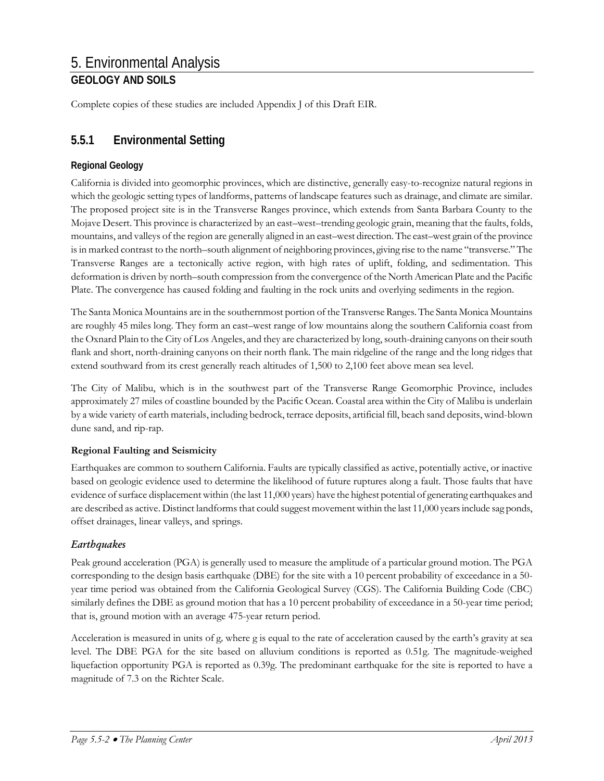Complete copies of these studies are included Appendix J of this Draft EIR.

## **5.5.1 Environmental Setting**

## **Regional Geology**

California is divided into geomorphic provinces, which are distinctive, generally easy-to-recognize natural regions in which the geologic setting types of landforms, patterns of landscape features such as drainage, and climate are similar. The proposed project site is in the Transverse Ranges province, which extends from Santa Barbara County to the Mojave Desert. This province is characterized by an east–west–trending geologic grain, meaning that the faults, folds, mountains, and valleys of the region are generally aligned in an east–west direction. The east–west grain of the province is in marked contrast to the north–south alignment of neighboring provinces, giving rise to the name "transverse." The Transverse Ranges are a tectonically active region, with high rates of uplift, folding, and sedimentation. This deformation is driven by north–south compression from the convergence of the North American Plate and the Pacific Plate. The convergence has caused folding and faulting in the rock units and overlying sediments in the region.

The Santa Monica Mountains are in the southernmost portion of the Transverse Ranges. The Santa Monica Mountains are roughly 45 miles long. They form an east–west range of low mountains along the southern California coast from the Oxnard Plain to the City of Los Angeles, and they are characterized by long, south-draining canyons on their south flank and short, north-draining canyons on their north flank. The main ridgeline of the range and the long ridges that extend southward from its crest generally reach altitudes of 1,500 to 2,100 feet above mean sea level.

The City of Malibu, which is in the southwest part of the Transverse Range Geomorphic Province, includes approximately 27 miles of coastline bounded by the Pacific Ocean. Coastal area within the City of Malibu is underlain by a wide variety of earth materials, including bedrock, terrace deposits, artificial fill, beach sand deposits, wind-blown dune sand, and rip-rap.

### **Regional Faulting and Seismicity**

Earthquakes are common to southern California. Faults are typically classified as active, potentially active, or inactive based on geologic evidence used to determine the likelihood of future ruptures along a fault. Those faults that have evidence of surface displacement within (the last 11,000 years) have the highest potential of generating earthquakes and are described as active. Distinct landforms that could suggest movement within the last 11,000 years include sag ponds, offset drainages, linear valleys, and springs.

### *Earthquakes*

Peak ground acceleration (PGA) is generally used to measure the amplitude of a particular ground motion. The PGA corresponding to the design basis earthquake (DBE) for the site with a 10 percent probability of exceedance in a 50 year time period was obtained from the California Geological Survey (CGS). The California Building Code (CBC) similarly defines the DBE as ground motion that has a 10 percent probability of exceedance in a 50-year time period; that is, ground motion with an average 475-year return period.

Acceleration is measured in units of g*,* where g is equal to the rate of acceleration caused by the earth's gravity at sea level. The DBE PGA for the site based on alluvium conditions is reported as 0.51g. The magnitude-weighed liquefaction opportunity PGA is reported as 0.39g. The predominant earthquake for the site is reported to have a magnitude of 7.3 on the Richter Scale.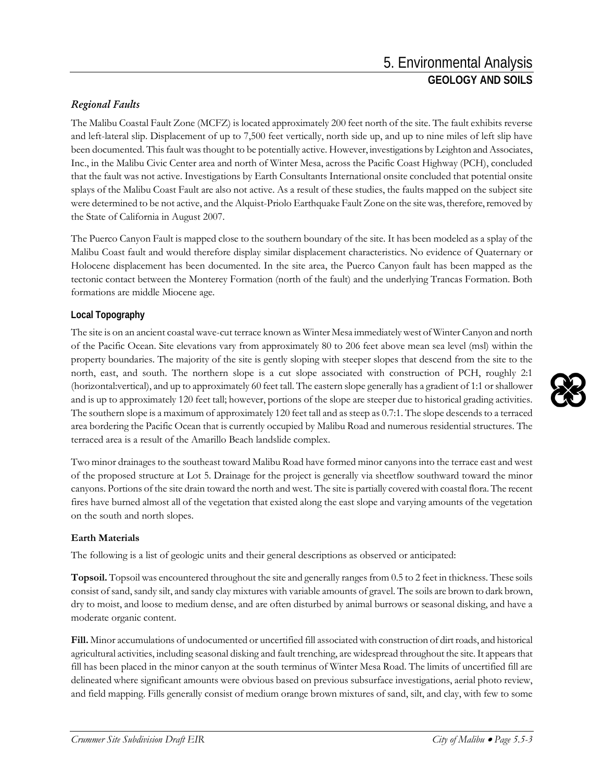## *Regional Faults*

The Malibu Coastal Fault Zone (MCFZ) is located approximately 200 feet north of the site. The fault exhibits reverse and left-lateral slip. Displacement of up to 7,500 feet vertically, north side up, and up to nine miles of left slip have been documented. This fault was thought to be potentially active. However, investigations by Leighton and Associates, Inc., in the Malibu Civic Center area and north of Winter Mesa, across the Pacific Coast Highway (PCH), concluded that the fault was not active. Investigations by Earth Consultants International onsite concluded that potential onsite splays of the Malibu Coast Fault are also not active. As a result of these studies, the faults mapped on the subject site were determined to be not active, and the Alquist-Priolo Earthquake Fault Zone on the site was, therefore, removed by the State of California in August 2007.

The Puerco Canyon Fault is mapped close to the southern boundary of the site. It has been modeled as a splay of the Malibu Coast fault and would therefore display similar displacement characteristics. No evidence of Quaternary or Holocene displacement has been documented. In the site area, the Puerco Canyon fault has been mapped as the tectonic contact between the Monterey Formation (north of the fault) and the underlying Trancas Formation. Both formations are middle Miocene age.

## **Local Topography**

The site is on an ancient coastal wave-cut terrace known as Winter Mesa immediately west of Winter Canyon and north of the Pacific Ocean. Site elevations vary from approximately 80 to 206 feet above mean sea level (msl) within the property boundaries. The majority of the site is gently sloping with steeper slopes that descend from the site to the north, east, and south. The northern slope is a cut slope associated with construction of PCH, roughly 2:1 (horizontal:vertical), and up to approximately 60 feet tall. The eastern slope generally has a gradient of 1:1 or shallower and is up to approximately 120 feet tall; however, portions of the slope are steeper due to historical grading activities. The southern slope is a maximum of approximately 120 feet tall and as steep as 0.7:1. The slope descends to a terraced area bordering the Pacific Ocean that is currently occupied by Malibu Road and numerous residential structures. The terraced area is a result of the Amarillo Beach landslide complex.

Two minor drainages to the southeast toward Malibu Road have formed minor canyons into the terrace east and west of the proposed structure at Lot 5. Drainage for the project is generally via sheetflow southward toward the minor canyons. Portions of the site drain toward the north and west. The site is partially covered with coastal flora. The recent fires have burned almost all of the vegetation that existed along the east slope and varying amounts of the vegetation on the south and north slopes.

### **Earth Materials**

The following is a list of geologic units and their general descriptions as observed or anticipated:

**Topsoil.** Topsoil was encountered throughout the site and generally ranges from 0.5 to 2 feet in thickness. These soils consist of sand, sandy silt, and sandy clay mixtures with variable amounts of gravel. The soils are brown to dark brown, dry to moist, and loose to medium dense, and are often disturbed by animal burrows or seasonal disking, and have a moderate organic content.

**Fill.** Minor accumulations of undocumented or uncertified fill associated with construction of dirt roads, and historical agricultural activities, including seasonal disking and fault trenching, are widespread throughout the site. It appears that fill has been placed in the minor canyon at the south terminus of Winter Mesa Road. The limits of uncertified fill are delineated where significant amounts were obvious based on previous subsurface investigations, aerial photo review, and field mapping. Fills generally consist of medium orange brown mixtures of sand, silt, and clay, with few to some

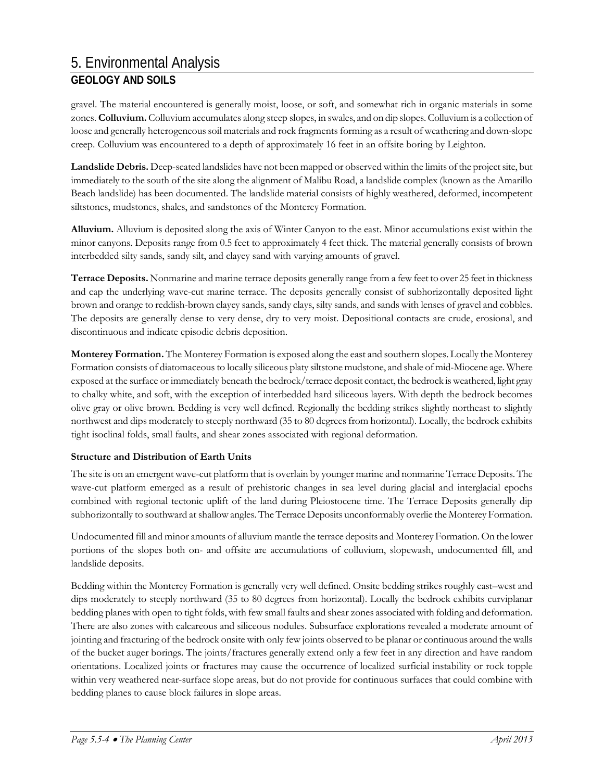gravel. The material encountered is generally moist, loose, or soft, and somewhat rich in organic materials in some zones. **Colluvium.** Colluvium accumulates along steep slopes, in swales, and on dip slopes. Colluvium is a collection of loose and generally heterogeneous soil materials and rock fragments forming as a result of weathering and down-slope creep. Colluvium was encountered to a depth of approximately 16 feet in an offsite boring by Leighton.

**Landslide Debris.** Deep-seated landslides have not been mapped or observed within the limits of the project site, but immediately to the south of the site along the alignment of Malibu Road, a landslide complex (known as the Amarillo Beach landslide) has been documented. The landslide material consists of highly weathered, deformed, incompetent siltstones, mudstones, shales, and sandstones of the Monterey Formation.

**Alluvium.** Alluvium is deposited along the axis of Winter Canyon to the east. Minor accumulations exist within the minor canyons. Deposits range from 0.5 feet to approximately 4 feet thick. The material generally consists of brown interbedded silty sands, sandy silt, and clayey sand with varying amounts of gravel.

**Terrace Deposits.** Nonmarine and marine terrace deposits generally range from a few feet to over 25 feet in thickness and cap the underlying wave-cut marine terrace. The deposits generally consist of subhorizontally deposited light brown and orange to reddish-brown clayey sands, sandy clays, silty sands, and sands with lenses of gravel and cobbles. The deposits are generally dense to very dense, dry to very moist. Depositional contacts are crude, erosional, and discontinuous and indicate episodic debris deposition.

**Monterey Formation.** The Monterey Formation is exposed along the east and southern slopes. Locally the Monterey Formation consists of diatomaceous to locally siliceous platy siltstone mudstone, and shale of mid-Miocene age. Where exposed at the surface or immediately beneath the bedrock/terrace deposit contact, the bedrock is weathered, light gray to chalky white, and soft, with the exception of interbedded hard siliceous layers. With depth the bedrock becomes olive gray or olive brown. Bedding is very well defined. Regionally the bedding strikes slightly northeast to slightly northwest and dips moderately to steeply northward (35 to 80 degrees from horizontal). Locally, the bedrock exhibits tight isoclinal folds, small faults, and shear zones associated with regional deformation.

#### **Structure and Distribution of Earth Units**

The site is on an emergent wave-cut platform that is overlain by younger marine and nonmarine Terrace Deposits. The wave-cut platform emerged as a result of prehistoric changes in sea level during glacial and interglacial epochs combined with regional tectonic uplift of the land during Pleiostocene time. The Terrace Deposits generally dip subhorizontally to southward at shallow angles. The Terrace Deposits unconformably overlie the Monterey Formation.

Undocumented fill and minor amounts of alluvium mantle the terrace deposits and Monterey Formation. On the lower portions of the slopes both on- and offsite are accumulations of colluvium, slopewash, undocumented fill, and landslide deposits.

Bedding within the Monterey Formation is generally very well defined. Onsite bedding strikes roughly east–west and dips moderately to steeply northward (35 to 80 degrees from horizontal). Locally the bedrock exhibits curviplanar bedding planes with open to tight folds, with few small faults and shear zones associated with folding and deformation. There are also zones with calcareous and siliceous nodules. Subsurface explorations revealed a moderate amount of jointing and fracturing of the bedrock onsite with only few joints observed to be planar or continuous around the walls of the bucket auger borings. The joints/fractures generally extend only a few feet in any direction and have random orientations. Localized joints or fractures may cause the occurrence of localized surficial instability or rock topple within very weathered near-surface slope areas, but do not provide for continuous surfaces that could combine with bedding planes to cause block failures in slope areas.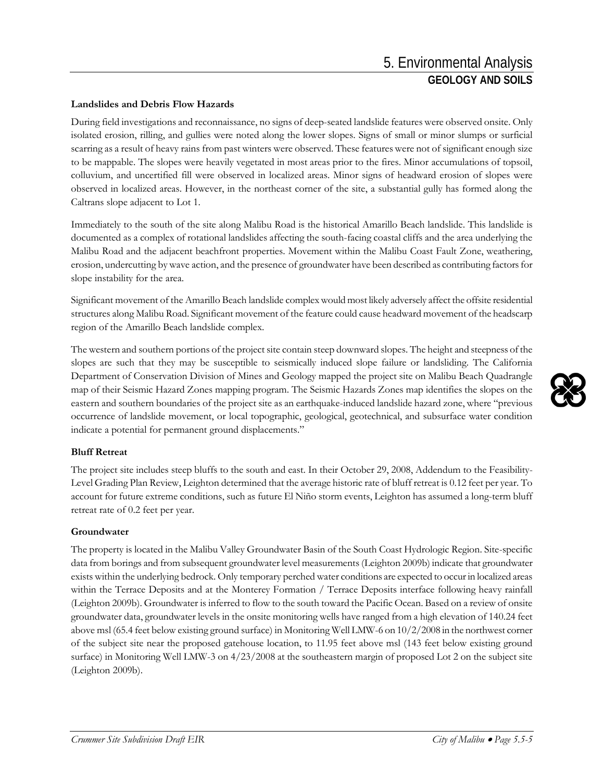#### **Landslides and Debris Flow Hazards**

During field investigations and reconnaissance, no signs of deep-seated landslide features were observed onsite. Only isolated erosion, rilling, and gullies were noted along the lower slopes. Signs of small or minor slumps or surficial scarring as a result of heavy rains from past winters were observed. These features were not of significant enough size to be mappable. The slopes were heavily vegetated in most areas prior to the fires. Minor accumulations of topsoil, colluvium, and uncertified fill were observed in localized areas. Minor signs of headward erosion of slopes were observed in localized areas. However, in the northeast corner of the site, a substantial gully has formed along the Caltrans slope adjacent to Lot 1.

Immediately to the south of the site along Malibu Road is the historical Amarillo Beach landslide. This landslide is documented as a complex of rotational landslides affecting the south-facing coastal cliffs and the area underlying the Malibu Road and the adjacent beachfront properties. Movement within the Malibu Coast Fault Zone, weathering, erosion, undercutting by wave action, and the presence of groundwater have been described as contributing factors for slope instability for the area.

Significant movement of the Amarillo Beach landslide complex would most likely adversely affect the offsite residential structures along Malibu Road. Significant movement of the feature could cause headward movement of the headscarp region of the Amarillo Beach landslide complex.

The western and southern portions of the project site contain steep downward slopes. The height and steepness of the slopes are such that they may be susceptible to seismically induced slope failure or landsliding. The California Department of Conservation Division of Mines and Geology mapped the project site on Malibu Beach Quadrangle map of their Seismic Hazard Zones mapping program. The Seismic Hazards Zones map identifies the slopes on the eastern and southern boundaries of the project site as an earthquake-induced landslide hazard zone, where "previous occurrence of landslide movement, or local topographic, geological, geotechnical, and subsurface water condition indicate a potential for permanent ground displacements."

#### **Bluff Retreat**

The project site includes steep bluffs to the south and east. In their October 29, 2008, Addendum to the Feasibility-Level Grading Plan Review, Leighton determined that the average historic rate of bluff retreat is 0.12 feet per year. To account for future extreme conditions, such as future El Niño storm events, Leighton has assumed a long-term bluff retreat rate of 0.2 feet per year.

#### **Groundwater**

The property is located in the Malibu Valley Groundwater Basin of the South Coast Hydrologic Region. Site-specific data from borings and from subsequent groundwater level measurements (Leighton 2009b) indicate that groundwater exists within the underlying bedrock. Only temporary perched water conditions are expected to occur in localized areas within the Terrace Deposits and at the Monterey Formation / Terrace Deposits interface following heavy rainfall (Leighton 2009b). Groundwater is inferred to flow to the south toward the Pacific Ocean. Based on a review of onsite groundwater data, groundwater levels in the onsite monitoring wells have ranged from a high elevation of 140.24 feet above msl (65.4 feet below existing ground surface) in Monitoring Well LMW-6 on 10/2/2008 in the northwest corner of the subject site near the proposed gatehouse location, to 11.95 feet above msl (143 feet below existing ground surface) in Monitoring Well LMW-3 on 4/23/2008 at the southeastern margin of proposed Lot 2 on the subject site (Leighton 2009b).

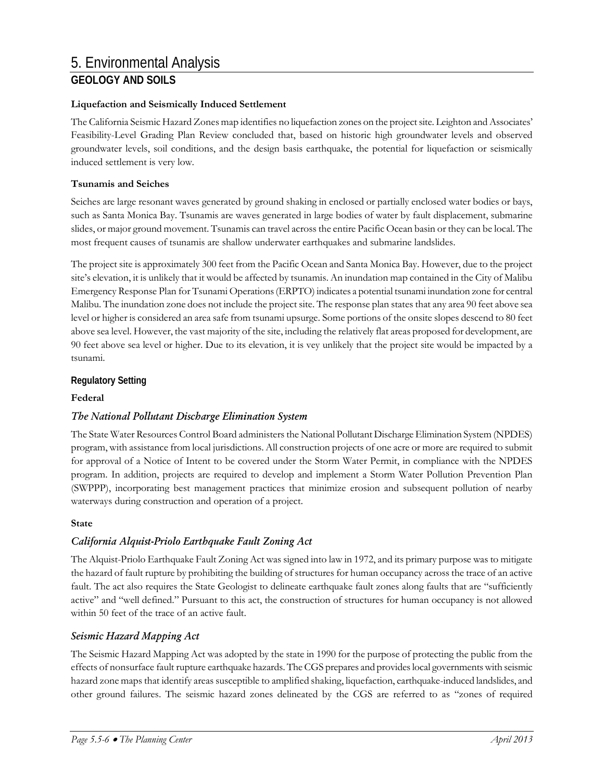#### **Liquefaction and Seismically Induced Settlement**

The California Seismic Hazard Zones map identifies no liquefaction zones on the project site. Leighton and Associates' Feasibility-Level Grading Plan Review concluded that, based on historic high groundwater levels and observed groundwater levels, soil conditions, and the design basis earthquake, the potential for liquefaction or seismically induced settlement is very low.

#### **Tsunamis and Seiches**

Seiches are large resonant waves generated by ground shaking in enclosed or partially enclosed water bodies or bays, such as Santa Monica Bay. Tsunamis are waves generated in large bodies of water by fault displacement, submarine slides, or major ground movement. Tsunamis can travel across the entire Pacific Ocean basin or they can be local. The most frequent causes of tsunamis are shallow underwater earthquakes and submarine landslides.

The project site is approximately 300 feet from the Pacific Ocean and Santa Monica Bay. However, due to the project site's elevation, it is unlikely that it would be affected by tsunamis. An inundation map contained in the City of Malibu Emergency Response Plan for Tsunami Operations (ERPTO) indicates a potential tsunami inundation zone for central Malibu. The inundation zone does not include the project site. The response plan states that any area 90 feet above sea level or higher is considered an area safe from tsunami upsurge. Some portions of the onsite slopes descend to 80 feet above sea level. However, the vast majority of the site, including the relatively flat areas proposed for development, are 90 feet above sea level or higher. Due to its elevation, it is vey unlikely that the project site would be impacted by a tsunami.

#### **Regulatory Setting**

#### **Federal**

### *The National Pollutant Discharge Elimination System*

The State Water Resources Control Board administers the National Pollutant Discharge Elimination System (NPDES) program, with assistance from local jurisdictions. All construction projects of one acre or more are required to submit for approval of a Notice of Intent to be covered under the Storm Water Permit, in compliance with the NPDES program. In addition, projects are required to develop and implement a Storm Water Pollution Prevention Plan (SWPPP), incorporating best management practices that minimize erosion and subsequent pollution of nearby waterways during construction and operation of a project.

#### **State**

### *California Alquist-Priolo Earthquake Fault Zoning Act*

The Alquist-Priolo Earthquake Fault Zoning Act was signed into law in 1972, and its primary purpose was to mitigate the hazard of fault rupture by prohibiting the building of structures for human occupancy across the trace of an active fault. The act also requires the State Geologist to delineate earthquake fault zones along faults that are "sufficiently active" and "well defined." Pursuant to this act, the construction of structures for human occupancy is not allowed within 50 feet of the trace of an active fault.

### *Seismic Hazard Mapping Act*

The Seismic Hazard Mapping Act was adopted by the state in 1990 for the purpose of protecting the public from the effects of nonsurface fault rupture earthquake hazards. The CGS prepares and provides local governments with seismic hazard zone maps that identify areas susceptible to amplified shaking, liquefaction, earthquake-induced landslides, and other ground failures. The seismic hazard zones delineated by the CGS are referred to as "zones of required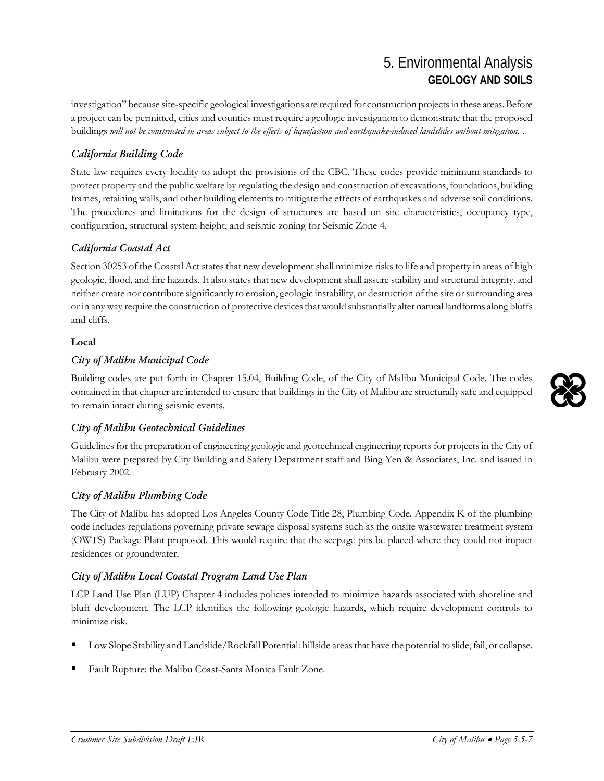investigation" because site-specific geological investigations are required for construction projects in these areas. Before a project can be permitted, cities and counties must require a geologic investigation to demonstrate that the proposed buildings *will not be constructed in areas subject to the effects of liquefaction and earthquake-induced landslides without mitigation.* .

## *California Building Code*

State law requires every locality to adopt the provisions of the CBC. These codes provide minimum standards to protect property and the public welfare by regulating the design and construction of excavations, foundations, building frames, retaining walls, and other building elements to mitigate the effects of earthquakes and adverse soil conditions. The procedures and limitations for the design of structures are based on site characteristics, occupancy type, configuration, structural system height, and seismic zoning for Seismic Zone 4.

## *California Coastal Act*

Section 30253 of the Coastal Act states that new development shall minimize risks to life and property in areas of high geologic, flood, and fire hazards. It also states that new development shall assure stability and structural integrity, and neither create nor contribute significantly to erosion, geologic instability, or destruction of the site or surrounding area or in any way require the construction of protective devices that would substantially alter natural landforms along bluffs and cliffs.

#### **Local**

## *City of Malibu Municipal Code*

Building codes are put forth in Chapter 15.04, Building Code, of the City of Malibu Municipal Code. The codes contained in that chapter are intended to ensure that buildings in the City of Malibu are structurally safe and equipped to remain intact during seismic events.

### *City of Malibu Geotechnical Guidelines*

Guidelines for the preparation of engineering geologic and geotechnical engineering reports for projects in the City of Malibu were prepared by City Building and Safety Department staff and Bing Yen & Associates, Inc. and issued in February 2002.

### *City of Malibu Plumbing Code*

The City of Malibu has adopted Los Angeles County Code Title 28, Plumbing Code. Appendix K of the plumbing code includes regulations governing private sewage disposal systems such as the onsite wastewater treatment system (OWTS) Package Plant proposed. This would require that the seepage pits be placed where they could not impact residences or groundwater.

### *City of Malibu Local Coastal Program Land Use Plan*

LCP Land Use Plan (LUP) Chapter 4 includes policies intended to minimize hazards associated with shoreline and bluff development. The LCP identifies the following geologic hazards, which require development controls to minimize risk.

- Low Slope Stability and Landslide/Rockfall Potential: hillside areas that have the potential to slide, fail, or collapse.
- Fault Rupture: the Malibu Coast-Santa Monica Fault Zone.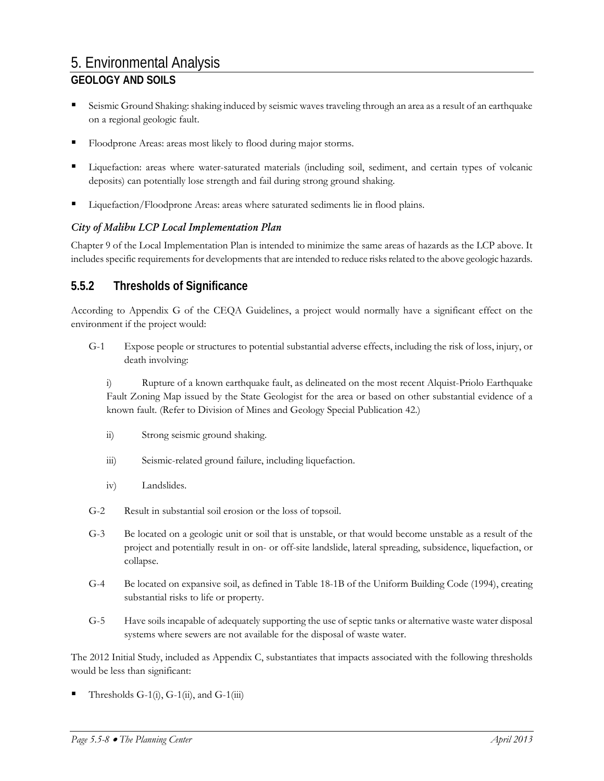- Seismic Ground Shaking: shaking induced by seismic waves traveling through an area as a result of an earthquake on a regional geologic fault.
- Floodprone Areas: areas most likely to flood during major storms.
- Liquefaction: areas where water-saturated materials (including soil, sediment, and certain types of volcanic deposits) can potentially lose strength and fail during strong ground shaking.
- Liquefaction/Floodprone Areas: areas where saturated sediments lie in flood plains.

#### *City of Malibu LCP Local Implementation Plan*

Chapter 9 of the Local Implementation Plan is intended to minimize the same areas of hazards as the LCP above. It includes specific requirements for developments that are intended to reduce risks related to the above geologic hazards.

## **5.5.2 Thresholds of Significance**

According to Appendix G of the CEQA Guidelines, a project would normally have a significant effect on the environment if the project would:

G-1 Expose people or structures to potential substantial adverse effects, including the risk of loss, injury, or death involving:

i) Rupture of a known earthquake fault, as delineated on the most recent Alquist-Priolo Earthquake Fault Zoning Map issued by the State Geologist for the area or based on other substantial evidence of a known fault. (Refer to Division of Mines and Geology Special Publication 42.)

- ii) Strong seismic ground shaking.
- iii) Seismic-related ground failure, including liquefaction.
- iv) Landslides.
- G-2 Result in substantial soil erosion or the loss of topsoil.
- G-3 Be located on a geologic unit or soil that is unstable, or that would become unstable as a result of the project and potentially result in on- or off-site landslide, lateral spreading, subsidence, liquefaction, or collapse.
- G-4 Be located on expansive soil, as defined in Table 18-1B of the Uniform Building Code (1994), creating substantial risks to life or property.
- G-5 Have soils incapable of adequately supporting the use of septic tanks or alternative waste water disposal systems where sewers are not available for the disposal of waste water.

The 2012 Initial Study, included as Appendix C, substantiates that impacts associated with the following thresholds would be less than significant:

Thresholds  $G-1(i)$ ,  $G-1(ii)$ , and  $G-1(iii)$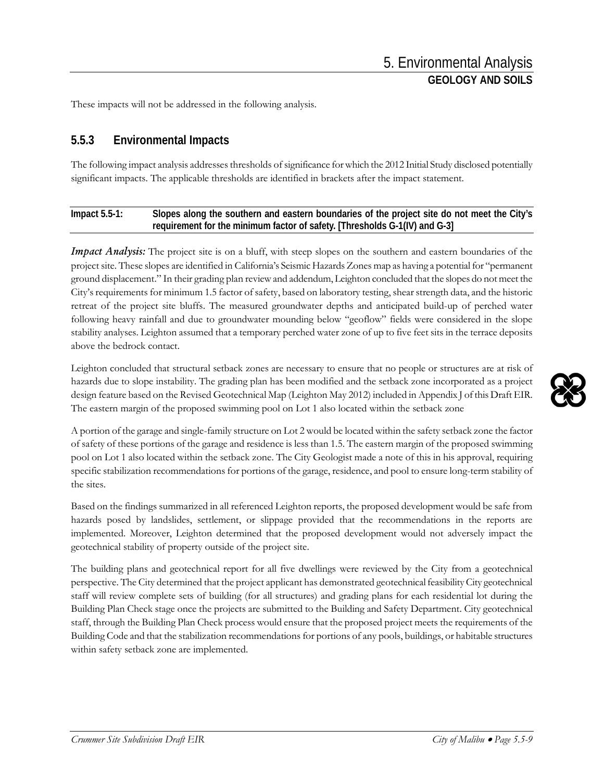These impacts will not be addressed in the following analysis.

## **5.5.3 Environmental Impacts**

The following impact analysis addresses thresholds of significance for which the 2012 Initial Study disclosed potentially significant impacts. The applicable thresholds are identified in brackets after the impact statement.

### **Impact 5.5-1: Slopes along the southern and eastern boundaries of the project site do not meet the City's requirement for the minimum factor of safety. [Thresholds G-1(IV) and G-3]**

*Impact Analysis:* The project site is on a bluff, with steep slopes on the southern and eastern boundaries of the project site. These slopes are identified in California's Seismic Hazards Zones map as having a potential for "permanent ground displacement." In their grading plan review and addendum, Leighton concluded that the slopes do not meet the City's requirements for minimum 1.5 factor of safety, based on laboratory testing, shear strength data, and the historic retreat of the project site bluffs. The measured groundwater depths and anticipated build-up of perched water following heavy rainfall and due to groundwater mounding below "geoflow" fields were considered in the slope stability analyses. Leighton assumed that a temporary perched water zone of up to five feet sits in the terrace deposits above the bedrock contact.

Leighton concluded that structural setback zones are necessary to ensure that no people or structures are at risk of hazards due to slope instability. The grading plan has been modified and the setback zone incorporated as a project design feature based on the Revised Geotechnical Map (Leighton May 2012) included in Appendix J ofthis Draft EIR. The eastern margin of the proposed swimming pool on Lot 1 also located within the setback zone

A portion of the garage and single-family structure on Lot 2 would be located within the safety setback zone the factor of safety of these portions of the garage and residence is less than 1.5. The eastern margin of the proposed swimming pool on Lot 1 also located within the setback zone. The City Geologist made a note of this in his approval, requiring specific stabilization recommendations for portions of the garage, residence, and pool to ensure long-term stability of the sites.

Based on the findings summarized in all referenced Leighton reports, the proposed development would be safe from hazards posed by landslides, settlement, or slippage provided that the recommendations in the reports are implemented. Moreover, Leighton determined that the proposed development would not adversely impact the geotechnical stability of property outside of the project site.

The building plans and geotechnical report for all five dwellings were reviewed by the City from a geotechnical perspective. The City determined that the project applicant has demonstrated geotechnical feasibility City geotechnical staff will review complete sets of building (for all structures) and grading plans for each residential lot during the Building Plan Check stage once the projects are submitted to the Building and Safety Department. City geotechnical staff, through the Building Plan Check process would ensure that the proposed project meets the requirements of the Building Code and that the stabilization recommendations for portions of any pools, buildings, or habitable structures within safety setback zone are implemented.

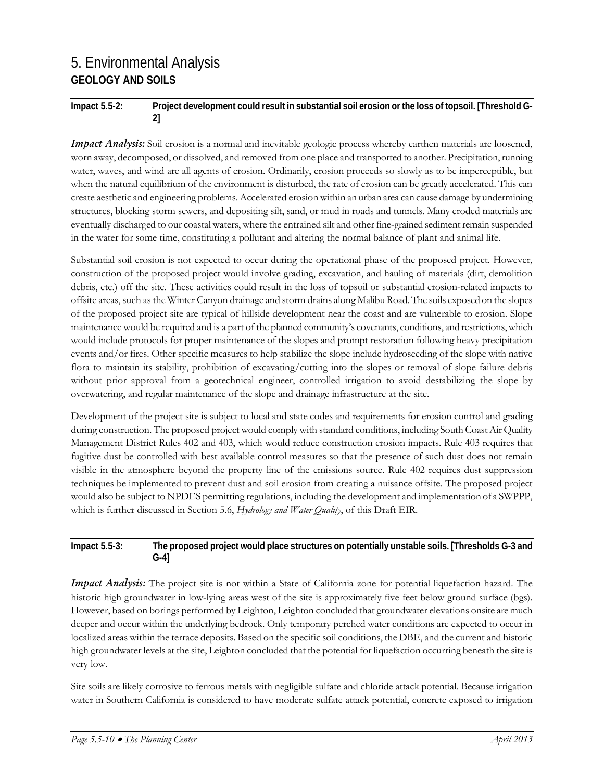**Impact 5.5-2: Project development could result in substantial soil erosion or the loss of topsoil. [Threshold G-2]**

*Impact Analysis:* Soil erosion is a normal and inevitable geologic process whereby earthen materials are loosened, worn away, decomposed, or dissolved, and removed from one place and transported to another. Precipitation, running water, waves, and wind are all agents of erosion. Ordinarily, erosion proceeds so slowly as to be imperceptible, but when the natural equilibrium of the environment is disturbed, the rate of erosion can be greatly accelerated. This can create aesthetic and engineering problems. Accelerated erosion within an urban area can cause damage by undermining structures, blocking storm sewers, and depositing silt, sand, or mud in roads and tunnels. Many eroded materials are eventually discharged to our coastal waters, where the entrained silt and other fine-grained sediment remain suspended in the water for some time, constituting a pollutant and altering the normal balance of plant and animal life.

Substantial soil erosion is not expected to occur during the operational phase of the proposed project. However, construction of the proposed project would involve grading, excavation, and hauling of materials (dirt, demolition debris, etc.) off the site. These activities could result in the loss of topsoil or substantial erosion-related impacts to offsite areas, such as the Winter Canyon drainage and storm drains along Malibu Road. The soils exposed on the slopes of the proposed project site are typical of hillside development near the coast and are vulnerable to erosion. Slope maintenance would be required and is a part of the planned community's covenants, conditions, and restrictions, which would include protocols for proper maintenance of the slopes and prompt restoration following heavy precipitation events and/or fires. Other specific measures to help stabilize the slope include hydroseeding of the slope with native flora to maintain its stability, prohibition of excavating/cutting into the slopes or removal of slope failure debris without prior approval from a geotechnical engineer, controlled irrigation to avoid destabilizing the slope by overwatering, and regular maintenance of the slope and drainage infrastructure at the site.

Development of the project site is subject to local and state codes and requirements for erosion control and grading during construction. The proposed project would comply with standard conditions, including South Coast Air Quality Management District Rules 402 and 403, which would reduce construction erosion impacts. Rule 403 requires that fugitive dust be controlled with best available control measures so that the presence of such dust does not remain visible in the atmosphere beyond the property line of the emissions source. Rule 402 requires dust suppression techniques be implemented to prevent dust and soil erosion from creating a nuisance offsite. The proposed project would also be subject to NPDES permitting regulations, including the development and implementation of a SWPPP, which is further discussed in Section 5.6, *Hydrology and Water Quality*, of this Draft EIR.

#### **Impact 5.5-3: The proposed project would place structures on potentially unstable soils. [Thresholds G-3 and G-4]**

*Impact Analysis:* The project site is not within a State of California zone for potential liquefaction hazard. The historic high groundwater in low-lying areas west of the site is approximately five feet below ground surface (bgs). However, based on borings performed by Leighton, Leighton concluded that groundwater elevations onsite are much deeper and occur within the underlying bedrock. Only temporary perched water conditions are expected to occur in localized areas within the terrace deposits. Based on the specific soil conditions, the DBE, and the current and historic high groundwater levels at the site, Leighton concluded that the potential for liquefaction occurring beneath the site is very low.

Site soils are likely corrosive to ferrous metals with negligible sulfate and chloride attack potential. Because irrigation water in Southern California is considered to have moderate sulfate attack potential, concrete exposed to irrigation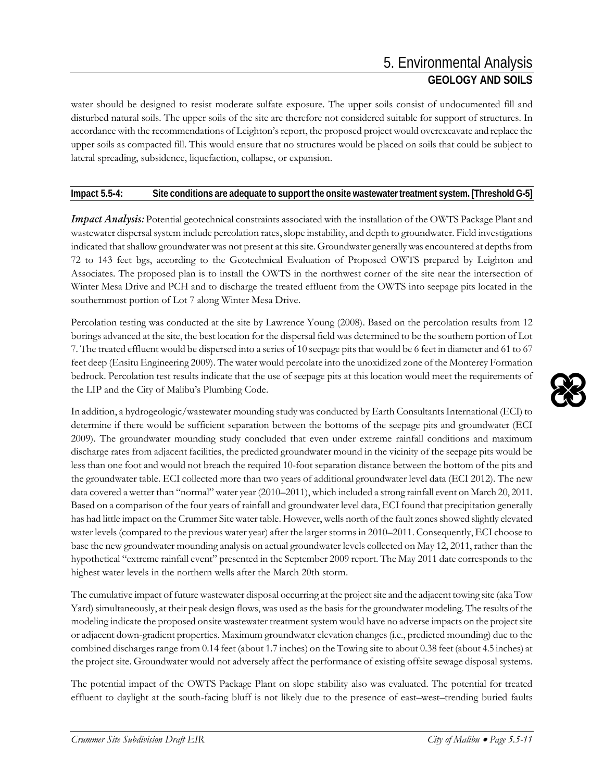water should be designed to resist moderate sulfate exposure. The upper soils consist of undocumented fill and disturbed natural soils. The upper soils of the site are therefore not considered suitable for support of structures. In accordance with the recommendations of Leighton's report, the proposed project would overexcavate and replace the upper soils as compacted fill. This would ensure that no structures would be placed on soils that could be subject to lateral spreading, subsidence, liquefaction, collapse, or expansion.

#### **Impact 5.5-4: Site conditions are adequate to support the onsite wastewater treatment system. [Threshold G-5]**

*Impact Analysis:* Potential geotechnical constraints associated with the installation of the OWTS Package Plant and wastewater dispersal system include percolation rates, slope instability, and depth to groundwater. Field investigations indicated that shallow groundwater was not present at this site. Groundwater generally was encountered at depths from 72 to 143 feet bgs, according to the Geotechnical Evaluation of Proposed OWTS prepared by Leighton and Associates. The proposed plan is to install the OWTS in the northwest corner of the site near the intersection of Winter Mesa Drive and PCH and to discharge the treated effluent from the OWTS into seepage pits located in the southernmost portion of Lot 7 along Winter Mesa Drive.

Percolation testing was conducted at the site by Lawrence Young (2008). Based on the percolation results from 12 borings advanced at the site, the best location for the dispersal field was determined to be the southern portion of Lot 7. The treated effluent would be dispersed into a series of 10 seepage pits that would be 6 feet in diameter and 61 to 67 feet deep (Ensitu Engineering 2009). The water would percolate into the unoxidized zone of the Monterey Formation bedrock. Percolation test results indicate that the use of seepage pits at this location would meet the requirements of the LIP and the City of Malibu's Plumbing Code.

In addition, a hydrogeologic/wastewater mounding study was conducted by Earth Consultants International (ECI) to determine if there would be sufficient separation between the bottoms of the seepage pits and groundwater (ECI 2009). The groundwater mounding study concluded that even under extreme rainfall conditions and maximum discharge rates from adjacent facilities, the predicted groundwater mound in the vicinity of the seepage pits would be less than one foot and would not breach the required 10-foot separation distance between the bottom of the pits and the groundwater table. ECI collected more than two years of additional groundwater level data (ECI 2012). The new data covered a wetter than "normal" water year (2010–2011), which included a strong rainfall event on March 20, 2011. Based on a comparison of the four years of rainfall and groundwater level data, ECI found that precipitation generally has had little impact on the Crummer Site water table. However, wells north of the fault zones showed slightly elevated water levels (compared to the previous water year) after the larger storms in 2010–2011. Consequently, ECI choose to base the new groundwater mounding analysis on actual groundwater levels collected on May 12, 2011, rather than the hypothetical "extreme rainfall event" presented in the September 2009 report. The May 2011 date corresponds to the highest water levels in the northern wells after the March 20th storm.

The cumulative impact of future wastewater disposal occurring at the project site and the adjacent towing site (aka Tow Yard) simultaneously, at their peak design flows, was used as the basis for the groundwater modeling. The results of the modeling indicate the proposed onsite wastewater treatment system would have no adverse impacts on the project site or adjacent down-gradient properties. Maximum groundwater elevation changes (i.e., predicted mounding) due to the combined discharges range from 0.14 feet (about 1.7 inches) on the Towing site to about 0.38 feet (about 4.5 inches) at the project site. Groundwater would not adversely affect the performance of existing offsite sewage disposal systems.

The potential impact of the OWTS Package Plant on slope stability also was evaluated. The potential for treated effluent to daylight at the south-facing bluff is not likely due to the presence of east–west–trending buried faults

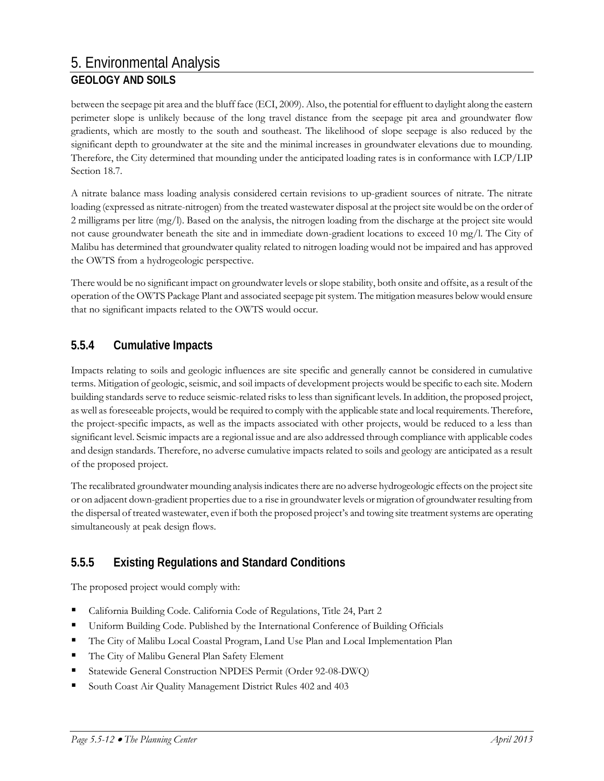between the seepage pit area and the bluff face (ECI, 2009). Also, the potential for effluent to daylight along the eastern perimeter slope is unlikely because of the long travel distance from the seepage pit area and groundwater flow gradients, which are mostly to the south and southeast. The likelihood of slope seepage is also reduced by the significant depth to groundwater at the site and the minimal increases in groundwater elevations due to mounding. Therefore, the City determined that mounding under the anticipated loading rates is in conformance with LCP/LIP Section 18.7.

A nitrate balance mass loading analysis considered certain revisions to up-gradient sources of nitrate. The nitrate loading (expressed as nitrate-nitrogen) from the treated wastewater disposal at the project site would be on the order of 2 milligrams per litre (mg/l). Based on the analysis, the nitrogen loading from the discharge at the project site would not cause groundwater beneath the site and in immediate down-gradient locations to exceed 10 mg/l. The City of Malibu has determined that groundwater quality related to nitrogen loading would not be impaired and has approved the OWTS from a hydrogeologic perspective.

There would be no significant impact on groundwater levels or slope stability, both onsite and offsite, as a result of the operation of the OWTS Package Plant and associated seepage pit system. The mitigation measures below would ensure that no significant impacts related to the OWTS would occur.

## **5.5.4 Cumulative Impacts**

Impacts relating to soils and geologic influences are site specific and generally cannot be considered in cumulative terms. Mitigation of geologic, seismic, and soil impacts of development projects would be specific to each site. Modern building standards serve to reduce seismic-related risks to less than significant levels. In addition, the proposed project, as well as foreseeable projects, would be required to comply with the applicable state and local requirements. Therefore, the project-specific impacts, as well as the impacts associated with other projects, would be reduced to a less than significant level. Seismic impacts are a regional issue and are also addressed through compliance with applicable codes and design standards. Therefore, no adverse cumulative impacts related to soils and geology are anticipated as a result of the proposed project.

The recalibrated groundwater mounding analysis indicates there are no adverse hydrogeologic effects on the project site or on adjacent down-gradient properties due to a rise in groundwater levels or migration of groundwater resulting from the dispersal of treated wastewater, even if both the proposed project's and towing site treatment systems are operating simultaneously at peak design flows.

## **5.5.5 Existing Regulations and Standard Conditions**

The proposed project would comply with:

- California Building Code. California Code of Regulations, Title 24, Part 2
- Uniform Building Code. Published by the International Conference of Building Officials
- The City of Malibu Local Coastal Program, Land Use Plan and Local Implementation Plan
- The City of Malibu General Plan Safety Element
- Statewide General Construction NPDES Permit (Order 92-08-DWQ)
- South Coast Air Quality Management District Rules 402 and 403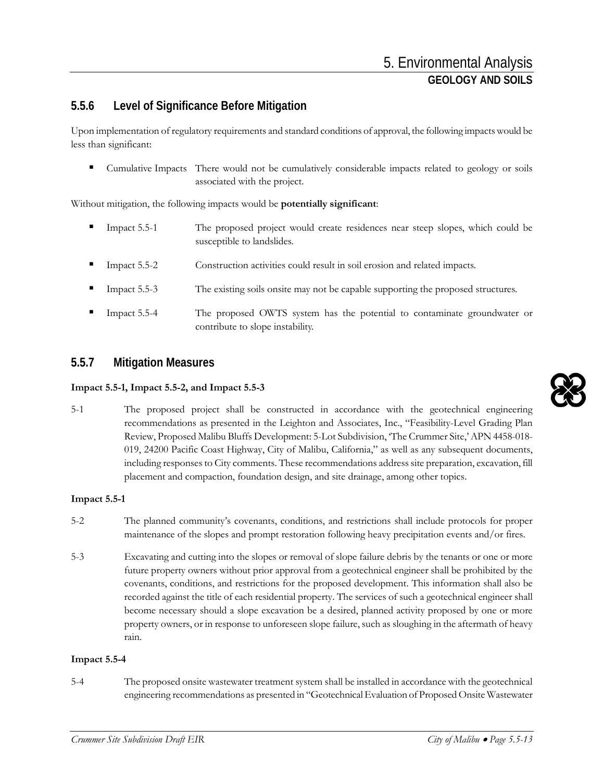## **5.5.6 Level of Significance Before Mitigation**

Upon implementation of regulatory requirements and standard conditions of approval, the following impacts would be less than significant:

 Cumulative Impacts There would not be cumulatively considerable impacts related to geology or soils associated with the project.

Without mitigation, the following impacts would be **potentially significant**:

- Impact 5.5-1 The proposed project would create residences near steep slopes, which could be susceptible to landslides.
- Impact 5.5-2 Construction activities could result in soil erosion and related impacts.
- Impact 5.5-3 The existing soils onsite may not be capable supporting the proposed structures.
- Impact 5.5-4 The proposed OWTS system has the potential to contaminate groundwater or contribute to slope instability.

## **5.5.7 Mitigation Measures**

#### **Impact 5.5-1, Impact 5.5-2, and Impact 5.5-3**

5-1 The proposed project shall be constructed in accordance with the geotechnical engineering recommendations as presented in the Leighton and Associates, Inc., "Feasibility-Level Grading Plan Review, Proposed Malibu Bluffs Development: 5-Lot Subdivision, 'The Crummer Site,'APN 4458-018- 019, 24200 Pacific Coast Highway, City of Malibu, California," as well as any subsequent documents, including responses to City comments. These recommendations address site preparation, excavation, fill placement and compaction, foundation design, and site drainage, among other topics.

#### **Impact 5.5-1**

- 5-2 The planned community's covenants, conditions, and restrictions shall include protocols for proper maintenance of the slopes and prompt restoration following heavy precipitation events and/or fires.
- 5-3 Excavating and cutting into the slopes or removal of slope failure debris by the tenants or one or more future property owners without prior approval from a geotechnical engineer shall be prohibited by the covenants, conditions, and restrictions for the proposed development. This information shall also be recorded against the title of each residential property. The services of such a geotechnical engineer shall become necessary should a slope excavation be a desired, planned activity proposed by one or more property owners, or in response to unforeseen slope failure, such as sloughing in the aftermath of heavy rain.

#### **Impact 5.5-4**

5-4 The proposed onsite wastewater treatment system shall be installed in accordance with the geotechnical engineering recommendations as presented in "Geotechnical Evaluation of Proposed Onsite Wastewater